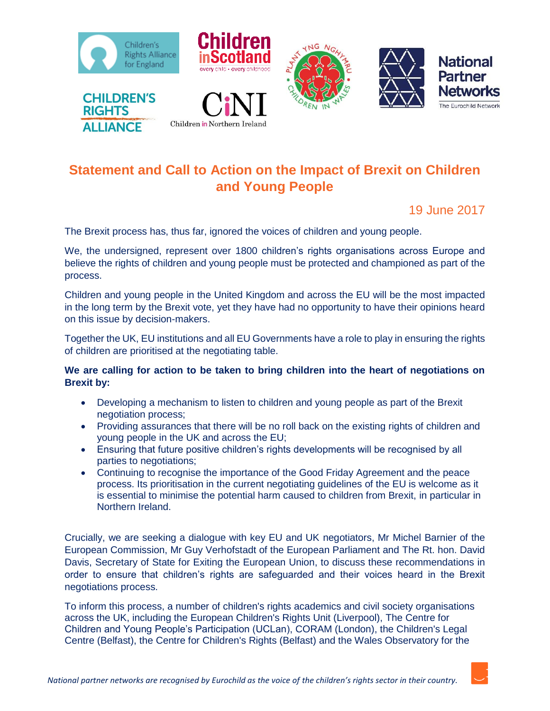



# **Statement and Call to Action on the Impact of Brexit on Children and Young People**

19 June 2017

The Brexit process has, thus far, ignored the voices of children and young people.

We, the undersigned, represent over 1800 children's rights organisations across Europe and believe the rights of children and young people must be protected and championed as part of the process.

Children and young people in the United Kingdom and across the EU will be the most impacted in the long term by the Brexit vote, yet they have had no opportunity to have their opinions heard on this issue by decision-makers.

Together the UK, EU institutions and all EU Governments have a role to play in ensuring the rights of children are prioritised at the negotiating table.

### **We are calling for action to be taken to bring children into the heart of negotiations on Brexit by:**

- Developing a mechanism to listen to children and young people as part of the Brexit negotiation process;
- Providing assurances that there will be no roll back on the existing rights of children and young people in the UK and across the EU;
- Ensuring that future positive children's rights developments will be recognised by all parties to negotiations;
- Continuing to recognise the importance of the Good Friday Agreement and the peace process. Its prioritisation in the current negotiating guidelines of the EU is welcome as it is essential to minimise the potential harm caused to children from Brexit, in particular in Northern Ireland.

Crucially, we are seeking a dialogue with key EU and UK negotiators, Mr Michel Barnier of the European Commission, Mr Guy Verhofstadt of the European Parliament and The Rt. hon. David Davis, Secretary of State for Exiting the European Union, to discuss these recommendations in order to ensure that children's rights are safeguarded and their voices heard in the Brexit negotiations process.

To inform this process, a number of children's rights academics and civil society organisations across the UK, including the European Children's Rights Unit (Liverpool), The Centre for Children and Young People's Participation (UCLan), CORAM (London), the Children's Legal Centre (Belfast), the Centre for Children's Rights (Belfast) and the Wales Observatory for the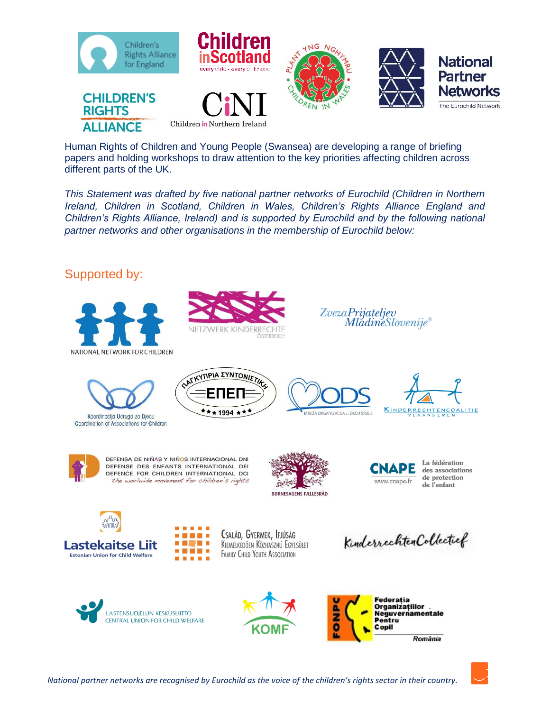

Human Rights of Children and Young People (Swansea) are developing a range of briefing papers and holding workshops to draw attention to the key priorities affecting children across different parts of the UK.

*This Statement was drafted by five national partner networks of Eurochild (Children in Northern Ireland, Children in Scotland, Children in Wales, Children's Rights Alliance England and Children's Rights Alliance, Ireland) and is supported by Eurochild and by the following national partner networks and other organisations in the membership of Eurochild below:*

## Supported by:





Koordinacija Udruga za Djecu Coordination of Associations for Children



**7WERK KINDERRECHTE** 





ZvezaPrijateljev

*MladineSlovenije®* 





DEFENSA DE NIÑAS Y NIÑOS INTERNACIONAL DNI DEFENSE DES ENFANTS INTERNATIONAL DEI DEFENCE FOR CHILDREN INTERNATIONAL DCI the worlwide movement for children's rights

. .





La fédération des associations de protection de l'enfant



CSALÁD, GYERMEK, IFJÚSÁG KIEMELKEDŐEN KÖZHASZNÚ EGYESÜLET FAMILY CHILD YOUTH ASSOCIATION

Kinderrechten Collectief